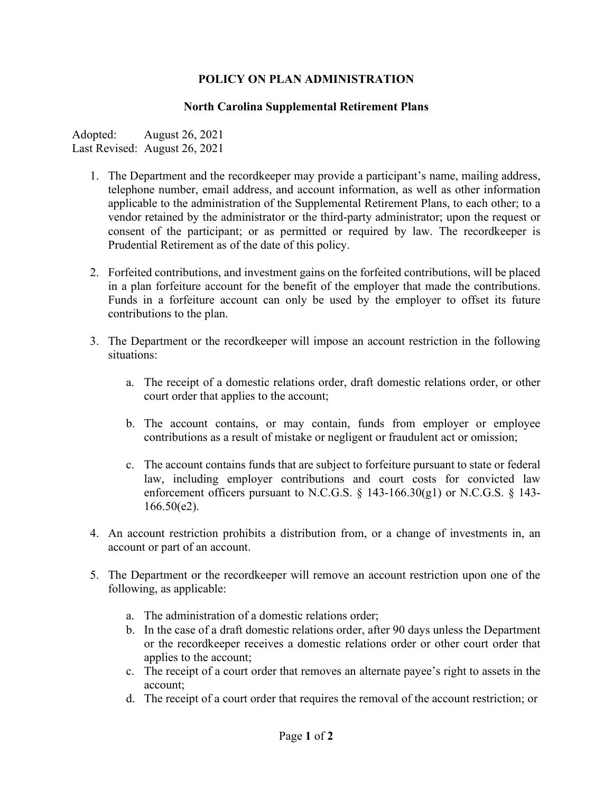## **POLICY ON PLAN ADMINISTRATION**

## **North Carolina Supplemental Retirement Plans**

Adopted: August 26, 2021 Last Revised: August 26, 2021

- 1. The Department and the recordkeeper may provide a participant's name, mailing address, telephone number, email address, and account information, as well as other information applicable to the administration of the Supplemental Retirement Plans, to each other; to a vendor retained by the administrator or the third-party administrator; upon the request or consent of the participant; or as permitted or required by law. The recordkeeper is Prudential Retirement as of the date of this policy.
- 2. Forfeited contributions, and investment gains on the forfeited contributions, will be placed in a plan forfeiture account for the benefit of the employer that made the contributions. Funds in a forfeiture account can only be used by the employer to offset its future contributions to the plan.
- 3. The Department or the recordkeeper will impose an account restriction in the following situations:
	- a. The receipt of a domestic relations order, draft domestic relations order, or other court order that applies to the account;
	- b. The account contains, or may contain, funds from employer or employee contributions as a result of mistake or negligent or fraudulent act or omission;
	- c. The account contains funds that are subject to forfeiture pursuant to state or federal law, including employer contributions and court costs for convicted law enforcement officers pursuant to N.C.G.S. § 143-166.30(g1) or N.C.G.S. § 143- 166.50(e2).
- 4. An account restriction prohibits a distribution from, or a change of investments in, an account or part of an account.
- 5. The Department or the recordkeeper will remove an account restriction upon one of the following, as applicable:
	- a. The administration of a domestic relations order;
	- b. In the case of a draft domestic relations order, after 90 days unless the Department or the recordkeeper receives a domestic relations order or other court order that applies to the account;
	- c. The receipt of a court order that removes an alternate payee's right to assets in the account;
	- d. The receipt of a court order that requires the removal of the account restriction; or